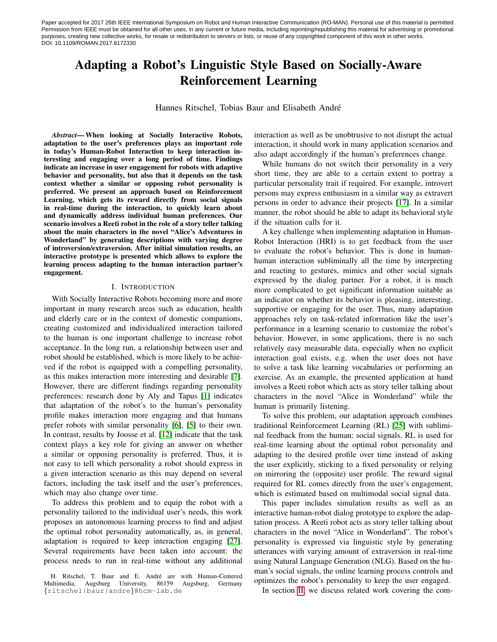Paper accepted for 2017 26th IEEE International Symposium on Robot and Human Interactive Communication (RO-MAN). Personal use of this material is permitted. Permission from IEEE must be obtained for all other uses, in any current or future media, including reprinting/republishing this material for advertising or promotional purposes, creating new collective works, for resale or redistribution to servers or lists, or reuse of any copyrighted component of this work in other works. DOI: 10.1109/ROMAN.2017.8172330

# Adapting a Robot's Linguistic Style Based on Socially-Aware Reinforcement Learning

Hannes Ritschel, Tobias Baur and Elisabeth André

*Abstract*— When looking at Socially Interactive Robots, adaptation to the user's preferences plays an important role in today's Human-Robot Interaction to keep interaction interesting and engaging over a long period of time. Findings indicate an increase in user engagement for robots with adaptive behavior and personality, but also that it depends on the task context whether a similar or opposing robot personality is preferred. We present an approach based on Reinforcement Learning, which gets its reward directly from social signals in real-time during the interaction, to quickly learn about and dynamically address individual human preferences. Our scenario involves a Reeti robot in the role of a story teller talking about the main characters in the novel "Alice's Adventures in Wonderland" by generating descriptions with varying degree of introversion/extraversion. After initial simulation results, an interactive prototype is presented which allows to explore the learning process adapting to the human interaction partner's engagement.

#### I. INTRODUCTION

With Socially Interactive Robots becoming more and more important in many research areas such as education, health and elderly care or in the context of domestic companions, creating customized and individualized interaction tailored to the human is one important challenge to increase robot acceptance. In the long run, a relationship between user and robot should be established, which is more likely to be achieved if the robot is equipped with a compelling personality, as this makes interaction more interesting and desirable [\[7\]](#page-6-0). However, there are different findings regarding personality preferences: research done by Aly and Tapus [\[1\]](#page-6-1) indicates that adaptation of the robot's to the human's personality profile makes interaction more engaging and that humans prefer robots with similar personality [\[6\]](#page-6-2), [\[5\]](#page-6-3) to their own. In contrast, results by Joosse et al. [\[12\]](#page-6-4) indicate that the task context plays a key role for giving an answer on whether a similar or opposing personality is preferred. Thus, it is not easy to tell which personality a robot should express in a given interaction scenario as this may depend on several factors, including the task itself and the user's preferences, which may also change over time.

To address this problem and to equip the robot with a personality tailored to the individual user's needs, this work proposes an autonomous learning process to find and adjust the optimal robot personality automatically, as, in general, adaptation is required to keep interaction engaging [\[27\]](#page-6-5). Several requirements have been taken into account: the process needs to run in real-time without any additional interaction as well as be unobtrusive to not disrupt the actual interaction, it should work in many application scenarios and also adapt accordingly if the human's preferences change.

While humans do not switch their personality in a very short time, they are able to a certain extent to portray a particular personality trait if required. For example, introvert persons may express enthusiasm in a similar way as extravert persons in order to advance their projects [\[17\]](#page-6-6). In a similar manner, the robot should be able to adapt its behavioral style if the situation calls for it.

A key challenge when implementing adaptation in Human-Robot Interaction (HRI) is to get feedback from the user to evaluate the robot's behavior. This is done in humanhuman interaction subliminally all the time by interpreting and reacting to gestures, mimics and other social signals expressed by the dialog partner. For a robot, it is much more complicated to get significant information suitable as an indicator on whether its behavior is pleasing, interesting, supportive or engaging for the user. Thus, many adaptation approaches rely on task-related information like the user's performance in a learning scenario to customize the robot's behavior. However, in some applications, there is no such relatively easy measurable data, especially when no explicit interaction goal exists, e.g. when the user does not have to solve a task like learning vocabularies or performing an exercise. As an example, the presented application at hand involves a Reeti robot which acts as story teller talking about characters in the novel "Alice in Wonderland" while the human is primarily listening.

To solve this problem, our adaptation approach combines traditional Reinforcement Learning (RL) [\[25\]](#page-6-7) with subliminal feedback from the human: social signals. RL is used for real-time learning about the optimal robot personality and adapting to the desired profile over time instead of asking the user explicitly, sticking to a fixed personality or relying on mirroring the (opposite) user profile. The reward signal required for RL comes directly from the user's engagement, which is estimated based on multimodal social signal data.

This paper includes simulation results as well as an interactive human-robot dialog prototype to explore the adaptation process. A Reeti robot acts as story teller talking about characters in the novel "Alice in Wonderland". The robot's personality is expressed via linguistic style by generating utterances with varying amount of extraversion in real-time using Natural Language Generation (NLG). Based on the human's social signals, the online learning process controls and optimizes the robot's personality to keep the user engaged.

In section [II,](#page-1-0) we discuss related work covering the com-

H. Ritschel, T. Baur and E. André are with Human-Centered ultimedia, Augsburg University, 86159 Augsburg, Germany Multimedia, Augsburg University, 86159 {ritschel|baur|andre}@hcm-lab.de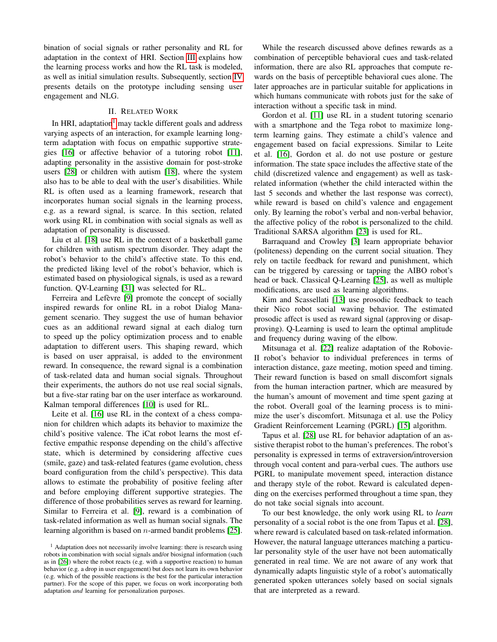bination of social signals or rather personality and RL for adaptation in the context of HRI. Section [III](#page-2-0) explains how the learning process works and how the RL task is modeled, as well as initial simulation results. Subsequently, section [IV](#page-3-0) presents details on the prototype including sensing user engagement and NLG.

## II. RELATED WORK

<span id="page-1-0"></span>In HRI, adaptation<sup>[1](#page-1-1)</sup> may tackle different goals and address varying aspects of an interaction, for example learning longterm adaptation with focus on empathic supportive strategies [\[16\]](#page-6-8) or affective behavior of a tutoring robot [\[11\]](#page-6-9), adapting personality in the assistive domain for post-stroke users [\[28\]](#page-6-10) or children with autism [\[18\]](#page-6-11), where the system also has to be able to deal with the user's disabilities. While RL is often used as a learning framework, research that incorporates human social signals in the learning process, e.g. as a reward signal, is scarce. In this section, related work using RL in combination with social signals as well as adaptation of personality is discussed.

Liu et al. [\[18\]](#page-6-11) use RL in the context of a basketball game for children with autism spectrum disorder. They adapt the robot's behavior to the child's affective state. To this end, the predicted liking level of the robot's behavior, which is estimated based on physiological signals, is used as a reward function. QV-Learning [\[31\]](#page-6-12) was selected for RL.

Ferreira and Lefèvre [\[9\]](#page-6-13) promote the concept of socially inspired rewards for online RL in a robot Dialog Management scenario. They suggest the use of human behavior cues as an additional reward signal at each dialog turn to speed up the policy optimization process and to enable adaptation to different users. This shaping reward, which is based on user appraisal, is added to the environment reward. In consequence, the reward signal is a combination of task-related data and human social signals. Throughout their experiments, the authors do not use real social signals, but a five-star rating bar on the user interface as workaround. Kalman temporal differences [\[10\]](#page-6-14) is used for RL.

Leite et al. [\[16\]](#page-6-8) use RL in the context of a chess companion for children which adapts its behavior to maximize the child's positive valence. The iCat robot learns the most effective empathic response depending on the child's affective state, which is determined by considering affective cues (smile, gaze) and task-related features (game evolution, chess board configuration from the child's perspective). This data allows to estimate the probability of positive feeling after and before employing different supportive strategies. The difference of those probabilities serves as reward for learning. Similar to Ferreira et al. [\[9\]](#page-6-13), reward is a combination of task-related information as well as human social signals. The learning algorithm is based on n-armed bandit problems [\[25\]](#page-6-7).

While the research discussed above defines rewards as a combination of perceptible behavioral cues and task-related information, there are also RL approaches that compute rewards on the basis of perceptible behavioral cues alone. The later approaches are in particular suitable for applications in which humans communicate with robots just for the sake of interaction without a specific task in mind.

Gordon et al. [\[11\]](#page-6-9) use RL in a student tutoring scenario with a smartphone and the Tega robot to maximize longterm learning gains. They estimate a child's valence and engagement based on facial expressions. Similar to Leite et al. [\[16\]](#page-6-8), Gordon et al. do not use posture or gesture information. The state space includes the affective state of the child (discretized valence and engagement) as well as taskrelated information (whether the child interacted within the last 5 seconds and whether the last response was correct), while reward is based on child's valence and engagement only. By learning the robot's verbal and non-verbal behavior, the affective policy of the robot is personalized to the child. Traditional SARSA algorithm [\[23\]](#page-6-16) is used for RL.

Barraquand and Crowley [\[3\]](#page-6-17) learn appropriate behavior (politeness) depending on the current social situation. They rely on tactile feedback for reward and punishment, which can be triggered by caressing or tapping the AIBO robot's head or back. Classical Q-Learning [\[25\]](#page-6-7), as well as multiple modifications, are used as learning algorithms.

Kim and Scassellati [\[13\]](#page-6-18) use prosodic feedback to teach their Nico robot social waving behavior. The estimated prosodic affect is used as reward signal (approving or disapproving). Q-Learning is used to learn the optimal amplitude and frequency during waving of the elbow.

Mitsunaga et al. [\[22\]](#page-6-19) realize adaptation of the Robovie-II robot's behavior to individual preferences in terms of interaction distance, gaze meeting, motion speed and timing. Their reward function is based on small discomfort signals from the human interaction partner, which are measured by the human's amount of movement and time spent gazing at the robot. Overall goal of the learning process is to minimize the user's discomfort. Mitsunaga et al. use the Policy Gradient Reinforcement Learning (PGRL) [\[15\]](#page-6-20) algorithm.

Tapus et al. [\[28\]](#page-6-10) use RL for behavior adaptation of an assistive therapist robot to the human's preferences. The robot's personality is expressed in terms of extraversion/introversion through vocal content and para-verbal cues. The authors use PGRL to manipulate movement speed, interaction distance and therapy style of the robot. Reward is calculated depending on the exercises performed throughout a time span, they do not take social signals into account.

To our best knowledge, the only work using RL to *learn* personality of a social robot is the one from Tapus et al. [\[28\]](#page-6-10), where reward is calculated based on task-related information. However, the natural language utterances matching a particular personality style of the user have not been automatically generated in real time. We are not aware of any work that dynamically adapts linguistic style of a robot's automatically generated spoken utterances solely based on social signals that are interpreted as a reward.

<span id="page-1-1"></span><sup>&</sup>lt;sup>1</sup> Adaptation does not necessarily involve learning: there is research using robots in combination with social signals and/or biosignal information (such as in [\[26\]](#page-6-15)) where the robot reacts (e.g. with a supportive reaction) to human behavior (e.g. a drop in user engagement) but does not learn its own behavior (e.g. which of the possible reactions is the best for the particular interaction partner). For the scope of this paper, we focus on work incorporating both adaptation *and* learning for personalization purposes.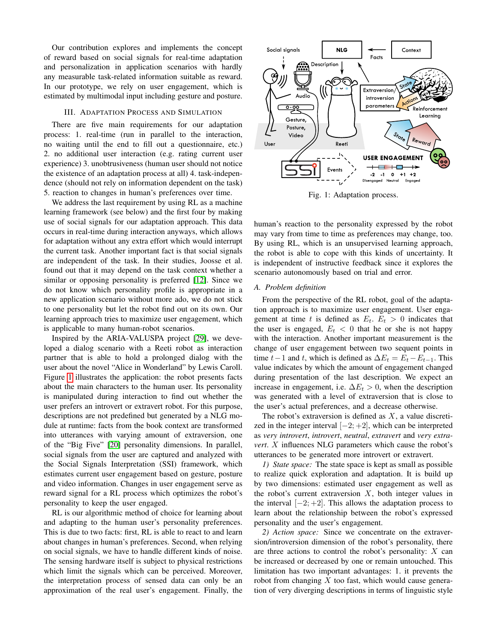Our contribution explores and implements the concept of reward based on social signals for real-time adaptation and personalization in application scenarios with hardly any measurable task-related information suitable as reward. In our prototype, we rely on user engagement, which is estimated by multimodal input including gesture and posture.

## III. ADAPTATION PROCESS AND SIMULATION

<span id="page-2-0"></span>There are five main requirements for our adaptation process: 1. real-time (run in parallel to the interaction, no waiting until the end to fill out a questionnaire, etc.) 2. no additional user interaction (e.g. rating current user experience) 3. unobtrusiveness (human user should not notice the existence of an adaptation process at all) 4. task-independence (should not rely on information dependent on the task) 5. reaction to changes in human's preferences over time.

We address the last requirement by using RL as a machine learning framework (see below) and the first four by making use of social signals for our adaptation approach. This data occurs in real-time during interaction anyways, which allows for adaptation without any extra effort which would interrupt the current task. Another important fact is that social signals are independent of the task. In their studies, Joosse et al. found out that it may depend on the task context whether a similar or opposing personality is preferred [\[12\]](#page-6-4). Since we do not know which personality profile is appropriate in a new application scenario without more ado, we do not stick to one personality but let the robot find out on its own. Our learning approach tries to maximize user engagement, which is applicable to many human-robot scenarios.

Inspired by the ARIA-VALUSPA project [\[29\]](#page-6-21), we developed a dialog scenario with a Reeti robot as interaction partner that is able to hold a prolonged dialog with the user about the novel "Alice in Wonderland" by Lewis Caroll. Figure [1](#page-2-1) illustrates the application: the robot presents facts about the main characters to the human user. Its personality is manipulated during interaction to find out whether the user prefers an introvert or extravert robot. For this purpose, descriptions are not predefined but generated by a NLG module at runtime: facts from the book context are transformed into utterances with varying amount of extraversion, one of the "Big Five" [\[20\]](#page-6-22) personality dimensions. In parallel, social signals from the user are captured and analyzed with the Social Signals Interpretation (SSI) framework, which estimates current user engagement based on gesture, posture and video information. Changes in user engagement serve as reward signal for a RL process which optimizes the robot's personality to keep the user engaged.

RL is our algorithmic method of choice for learning about and adapting to the human user's personality preferences. This is due to two facts: first, RL is able to react to and learn about changes in human's preferences. Second, when relying on social signals, we have to handle different kinds of noise. The sensing hardware itself is subject to physical restrictions which limit the signals which can be perceived. Moreover, the interpretation process of sensed data can only be an approximation of the real user's engagement. Finally, the

<span id="page-2-1"></span>

Fig. 1: Adaptation process.

human's reaction to the personality expressed by the robot may vary from time to time as preferences may change, too. By using RL, which is an unsupervised learning approach, the robot is able to cope with this kinds of uncertainty. It is independent of instructive feedback since it explores the scenario autonomously based on trial and error.

## *A. Problem definition*

From the perspective of the RL robot, goal of the adaptation approach is to maximize user engagement. User engagement at time t is defined as  $E_t$ .  $E_t > 0$  indicates that the user is engaged,  $E_t < 0$  that he or she is not happy with the interaction. Another important measurement is the change of user engagement between two sequent points in time  $t-1$  and  $t$ , which is defined as  $\Delta E_t = E_t - E_{t-1}$ . This value indicates by which the amount of engagement changed during presentation of the last description. We expect an increase in engagement, i.e.  $\Delta E_t > 0$ , when the description was generated with a level of extraversion that is close to the user's actual preferences, and a decrease otherwise.

The robot's extraversion is defined as  $X$ , a value discretized in the integer interval  $[-2, +2]$ , which can be interpreted as *very introvert*, *introvert*, *neutral*, *extravert* and *very extravert*. X influences NLG parameters which cause the robot's utterances to be generated more introvert or extravert.

*1) State space:* The state space is kept as small as possible to realize quick exploration and adaptation. It is build up by two dimensions: estimated user engagement as well as the robot's current extraversion  $X$ , both integer values in the interval  $[-2, +2]$ . This allows the adaptation process to learn about the relationship between the robot's expressed personality and the user's engagement.

*2) Action space:* Since we concentrate on the extraversion/introversion dimension of the robot's personality, there are three actions to control the robot's personality:  $X$  can be increased or decreased by one or remain untouched. This limitation has two important advantages: 1. it prevents the robot from changing  $X$  too fast, which would cause generation of very diverging descriptions in terms of linguistic style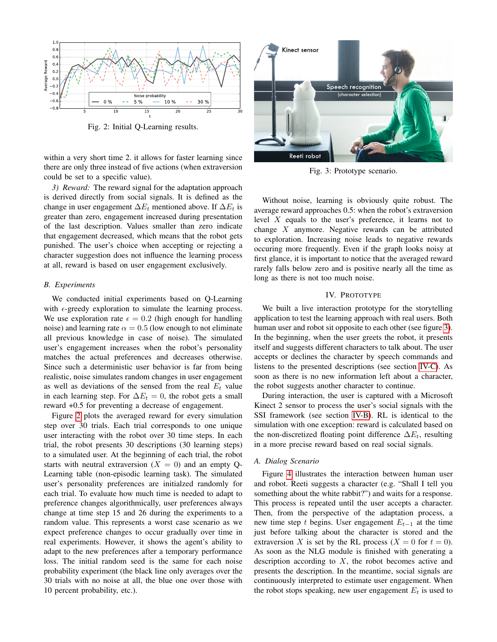<span id="page-3-1"></span>

Fig. 2: Initial Q-Learning results.

within a very short time 2. it allows for faster learning since there are only three instead of five actions (when extraversion could be set to a specific value).

*3) Reward:* The reward signal for the adaptation approach is derived directly from social signals. It is defined as the change in user engagement  $\Delta E_t$  mentioned above. If  $\Delta E_t$  is greater than zero, engagement increased during presentation of the last description. Values smaller than zero indicate that engagement decreased, which means that the robot gets punished. The user's choice when accepting or rejecting a character suggestion does not influence the learning process at all, reward is based on user engagement exclusively.

## *B. Experiments*

We conducted initial experiments based on Q-Learning with  $\epsilon$ -greedy exploration to simulate the learning process. We use exploration rate  $\epsilon = 0.2$  (high enough for handling noise) and learning rate  $\alpha = 0.5$  (low enough to not eliminate all previous knowledge in case of noise). The simulated user's engagement increases when the robot's personality matches the actual preferences and decreases otherwise. Since such a deterministic user behavior is far from being realistic, noise simulates random changes in user engagement as well as deviations of the sensed from the real  $E_t$  value in each learning step. For  $\Delta E_t = 0$ , the robot gets a small reward +0.5 for preventing a decrease of engagement.

Figure [2](#page-3-1) plots the averaged reward for every simulation step over 30 trials. Each trial corresponds to one unique user interacting with the robot over 30 time steps. In each trial, the robot presents 30 descriptions (30 learning steps) to a simulated user. At the beginning of each trial, the robot starts with neutral extraversion  $(X = 0)$  and an empty Q-Learning table (non-episodic learning task). The simulated user's personality preferences are initialzed randomly for each trial. To evaluate how much time is needed to adapt to preference changes algorithmically, user preferences always change at time step 15 and 26 during the experiments to a random value. This represents a worst case scenario as we expect preference changes to occur gradually over time in real experiments. However, it shows the agent's ability to adapt to the new preferences after a temporary performance loss. The initial random seed is the same for each noise probability experiment (the black line only averages over the 30 trials with no noise at all, the blue one over those with 10 percent probability, etc.).

<span id="page-3-2"></span>

Fig. 3: Prototype scenario.

Without noise, learning is obviously quite robust. The average reward approaches 0.5: when the robot's extraversion level X equals to the user's preference, it learns not to change X anymore. Negative rewards can be attributed to exploration. Increasing noise leads to negative rewards occuring more frequently. Even if the graph looks noisy at first glance, it is important to notice that the averaged reward rarely falls below zero and is positive nearly all the time as long as there is not too much noise.

## IV. PROTOTYPE

<span id="page-3-0"></span>We built a live interaction prototype for the storytelling application to test the learning approach with real users. Both human user and robot sit opposite to each other (see figure [3\)](#page-3-2). In the beginning, when the user greets the robot, it presents itself and suggests different characters to talk about. The user accepts or declines the character by speech commands and listens to the presented descriptions (see section [IV-C\)](#page-4-0). As soon as there is no new information left about a character, the robot suggests another character to continue.

During interaction, the user is captured with a Microsoft Kinect 2 sensor to process the user's social signals with the SSI framework (see section [IV-B\)](#page-4-1). RL is identical to the simulation with one exception: reward is calculated based on the non-discretized floating point difference  $\Delta E_t$ , resulting in a more precise reward based on real social signals.

#### *A. Dialog Scenario*

Figure [4](#page-4-2) illustrates the interaction between human user and robot. Reeti suggests a character (e.g. "Shall I tell you something about the white rabbit?") and waits for a response. This process is repeated until the user accepts a character. Then, from the perspective of the adaptation process, a new time step t begins. User engagement  $E_{t-1}$  at the time just before talking about the character is stored and the extraversion X is set by the RL process  $(X = 0$  for  $t = 0)$ . As soon as the NLG module is finished with generating a description according to  $X$ , the robot becomes active and presents the description. In the meantime, social signals are continuously interpreted to estimate user engagement. When the robot stops speaking, new user engagement  $E_t$  is used to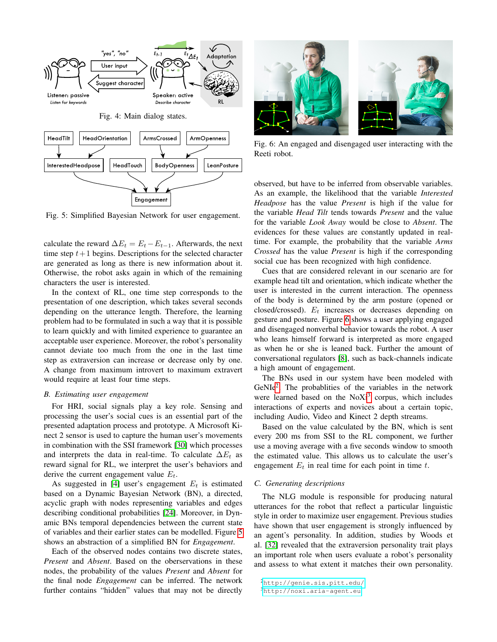<span id="page-4-2"></span>

<span id="page-4-3"></span>Fig. 5: Simplified Bayesian Network for user engagement.

Engagement

calculate the reward  $\Delta E_t = E_t - E_{t-1}$ . Afterwards, the next time step  $t+1$  begins. Descriptions for the selected character are generated as long as there is new information about it. Otherwise, the robot asks again in which of the remaining characters the user is interested.

In the context of RL, one time step corresponds to the presentation of one description, which takes several seconds depending on the utterance length. Therefore, the learning problem had to be formulated in such a way that it is possible to learn quickly and with limited experience to guarantee an acceptable user experience. Moreover, the robot's personality cannot deviate too much from the one in the last time step as extraversion can increase or decrease only by one. A change from maximum introvert to maximum extravert would require at least four time steps.

#### <span id="page-4-1"></span>*B. Estimating user engagement*

For HRI, social signals play a key role. Sensing and processing the user's social cues is an essential part of the presented adaptation process and prototype. A Microsoft Kinect 2 sensor is used to capture the human user's movements in combination with the SSI framework [\[30\]](#page-6-23) which processes and interprets the data in real-time. To calculate  $\Delta E_t$  as reward signal for RL, we interpret the user's behaviors and derive the current engagement value  $E_t$ .

As suggested in [\[4\]](#page-6-24) user's engagement  $E_t$  is estimated based on a Dynamic Bayesian Network (BN), a directed, acyclic graph with nodes representing variables and edges describing conditional probabilities [\[24\]](#page-6-25). Moreover, in Dynamic BNs temporal dependencies between the current state of variables and their earlier states can be modelled. Figure [5](#page-4-3) shows an abstraction of a simplified BN for *Engagement*.

Each of the observed nodes contains two discrete states, *Present* and *Absent*. Based on the oberservations in these nodes, the probability of the values *Present* and *Absent* for the final node *Engagement* can be inferred. The network further contains "hidden" values that may not be directly

<span id="page-4-4"></span>

Fig. 6: An engaged and disengaged user interacting with the Reeti robot.

observed, but have to be inferred from observable variables. As an example, the likelihood that the variable *Interested Headpose* has the value *Present* is high if the value for the variable *Head Tilt* tends towards *Present* and the value for the variable *Look Away* would be close to *Absent*. The evidences for these values are constantly updated in realtime. For example, the probability that the variable *Arms Crossed* has the value *Present* is high if the corresponding social cue has been recognized with high confidence.

Cues that are considered relevant in our scenario are for example head tilt and orientation, which indicate whether the user is interested in the current interaction. The openness of the body is determined by the arm posture (opened or closed/crossed).  $E_t$  increases or decreases depending on gesture and posture. Figure [6](#page-4-4) shows a user applying engaged and disengaged nonverbal behavior towards the robot. A user who leans himself forward is interpreted as more engaged as when he or she is leaned back. Further the amount of conversational regulators [\[8\]](#page-6-26), such as back-channels indicate a high amount of engagement.

The BNs used in our system have been modeled with  $GeVMe<sup>2</sup>$  $GeVMe<sup>2</sup>$  $GeVMe<sup>2</sup>$ . The probablities of the variables in the network were learned based on the  $NoXi<sup>3</sup>$  $NoXi<sup>3</sup>$  $NoXi<sup>3</sup>$  corpus, which includes interactions of experts and novices about a certain topic, including Audio, Video and Kinect 2 depth streams.

Based on the value calculated by the BN, which is sent every 200 ms from SSI to the RL component, we further use a moving average with a five seconds window to smooth the estimated value. This allows us to calculate the user's engagement  $E_t$  in real time for each point in time t.

#### <span id="page-4-0"></span>*C. Generating descriptions*

The NLG module is responsible for producing natural utterances for the robot that reflect a particular linguistic style in order to maximize user engagement. Previous studies have shown that user engagement is strongly influenced by an agent's personality. In addition, studies by Woods et al. [\[32\]](#page-6-27) revealed that the extraversion personality trait plays an important role when users evaluate a robot's personality and assess to what extent it matches their own personality.

```
2http://genie.sis.pitt.edu/
3http://noxi.aria-agent.eu
```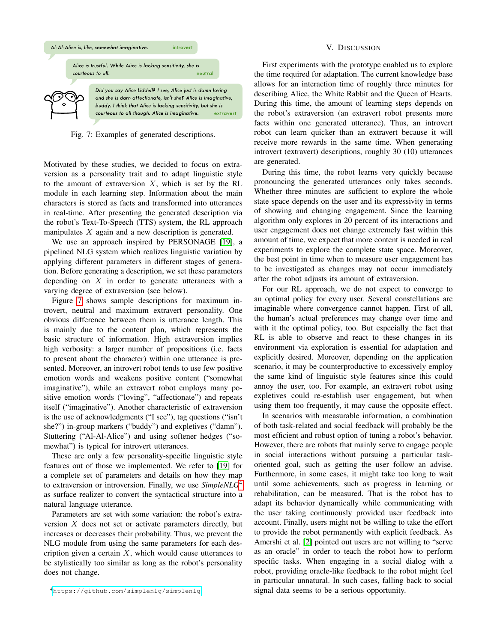<span id="page-5-0"></span>

Fig. 7: Examples of generated descriptions.

Motivated by these studies, we decided to focus on extraversion as a personality trait and to adapt linguistic style to the amount of extraversion  $X$ , which is set by the RL module in each learning step. Information about the main characters is stored as facts and transformed into utterances in real-time. After presenting the generated description via the robot's Text-To-Speech (TTS) system, the RL approach manipulates X again and a new description is generated.

We use an approach inspired by PERSONAGE [\[19\]](#page-6-28), a pipelined NLG system which realizes linguistic variation by applying different parameters in different stages of generation. Before generating a description, we set these parameters depending on  $X$  in order to generate utterances with a varying degree of extraversion (see below).

Figure [7](#page-5-0) shows sample descriptions for maximum introvert, neutral and maximum extravert personality. One obvious difference between them is utterance length. This is mainly due to the content plan, which represents the basic structure of information. High extraversion implies high verbosity: a larger number of propositions (i.e. facts to present about the character) within one utterance is presented. Moreover, an introvert robot tends to use few positive emotion words and weakens positive content ("somewhat imaginative"), while an extravert robot employs many positive emotion words ("loving", "affectionate") and repeats itself ("imaginative"). Another characteristic of extraversion is the use of acknowledgments ("I see"), tag questions ("isn't she?") in-group markers ("buddy") and expletives ("damn"). Stuttering ("Al-Al-Alice") and using softener hedges ("somewhat") is typical for introvert utterances.

These are only a few personality-specific linguistic style features out of those we implemented. We refer to [\[19\]](#page-6-28) for a complete set of parameters and details on how they map to extraversion or introversion. Finally, we use *SimpleNLG*[4](#page-5-1) as surface realizer to convert the syntactical structure into a natural language utterance.

Parameters are set with some variation: the robot's extraversion X does not set or activate parameters directly, but increases or decreases their probability. Thus, we prevent the NLG module from using the same parameters for each description given a certain  $X$ , which would cause utterances to be stylistically too similar as long as the robot's personality does not change.

## V. DISCUSSION

First experiments with the prototype enabled us to explore the time required for adaptation. The current knowledge base allows for an interaction time of roughly three minutes for describing Alice, the White Rabbit and the Queen of Hearts. During this time, the amount of learning steps depends on the robot's extraversion (an extravert robot presents more facts within one generated utterance). Thus, an introvert robot can learn quicker than an extravert because it will receive more rewards in the same time. When generating introvert (extravert) descriptions, roughly 30 (10) utterances are generated.

During this time, the robot learns very quickly because pronouncing the generated utterances only takes seconds. Whether three minutes are sufficient to explore the whole state space depends on the user and its expressivity in terms of showing and changing engagement. Since the learning algorithm only explores in 20 percent of its interactions and user engagement does not change extremely fast within this amount of time, we expect that more content is needed in real experiments to explore the complete state space. Moreover, the best point in time when to measure user engagement has to be investigated as changes may not occur immediately after the robot adjusts its amount of extraversion.

For our RL approach, we do not expect to converge to an optimal policy for every user. Several constellations are imaginable where convergence cannot happen. First of all, the human's actual preferences may change over time and with it the optimal policy, too. But especially the fact that RL is able to observe and react to these changes in its environment via exploration is essential for adaptation and explicitly desired. Moreover, depending on the application scenario, it may be counterproductive to excessively employ the same kind of linguistic style features since this could annoy the user, too. For example, an extravert robot using expletives could re-establish user engagement, but when using them too frequently, it may cause the opposite effect.

In scenarios with measurable information, a combination of both task-related and social feedback will probably be the most efficient and robust option of tuning a robot's behavior. However, there are robots that mainly serve to engage people in social interactions without pursuing a particular taskoriented goal, such as getting the user follow an advise. Furthermore, in some cases, it might take too long to wait until some achievements, such as progress in learning or rehabilitation, can be measured. That is the robot has to adapt its behavior dynamically while communicating with the user taking continuously provided user feedback into account. Finally, users might not be willing to take the effort to provide the robot permanently with explicit feedback. As Amershi et al. [\[2\]](#page-6-29) pointed out users are not willing to "serve as an oracle" in order to teach the robot how to perform specific tasks. When engaging in a social dialog with a robot, providing oracle-like feedback to the robot might feel in particular unnatural. In such cases, falling back to social signal data seems to be a serious opportunity.

<span id="page-5-1"></span><sup>4</sup><https://github.com/simplenlg/simplenlg>